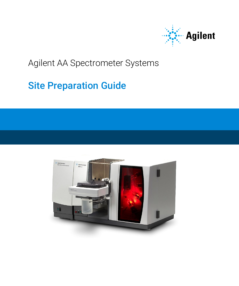

# Agilent AA Spectrometer Systems

# Site Preparation Guide

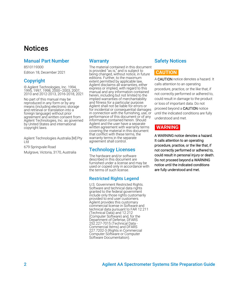## **Notices**

### Manual Part Number

8510119300 Edition 18, December 2021

### **Copyright**

© Agilent Technologies, Inc. 1994, 1995, 1997, 1998, 2000–2003, 2007, <sup>2010</sup> and 2012-2013, 2016-2018, 2021

No part of this manual may be reproduced in any form or by any means (including electronic storage and retrieval or translation into a foreign language) without prior agreement and written consent from Agilent Technologies, Inc. as governed by United States and international copyright laws.

Agilent Technologies Australia [M] Pty ht I 679 Springvale Road

Mulgrave, Victoria, 3170, Australia

### **Warranty**

The material contained in this document is provided "as is," and is subject to being changed, without notice, in future editions. Further, to the maximum extent permitted by applicable law, Agilent disclaims all warranties, either express or implied, with regard to this manual and any information contained herein, including but not limited to the implied warranties of merchantability and fitness for a particular purpose. Agilent shall not be liable for errors or for incidental or consequential damages in connection with the furnishing, use, or performance of this document or of any information contained herein. Should Agilent and the user have a separate written agreement with warranty terms covering the material in this document that conflict with these terms, the warranty terms in the separate agreement shall control.

### Technology Licenses

The hardware and/or software described in this document are furnished under a license and may be used or copied only in accordance with the terms of such license.

### Restricted Rights Legend

U.S. Government Restricted Rights. Software and technical data rights granted to the federal government include only those rights customarily provided to end user customers. Agilent provides this customary commercial license in Software and technical data pursuant to FAR 12.211 (Technical Data) and 12.212 (Computer Software) and, for the Department of Defense, DFARS 252.227-7015 (Technical Data - Commercial Items) and DFARS 227.7202-3 (Rights in Commercial Computer Software or Computer Software Documentation).

### Safety Notices

### **CAUTION**

A **CAUTION** notice denotes a hazard. It calls attention to an operating procedure, practice, or the like that, if not correctly performed or adhered to, could result in damage to the product or loss of important data. Do not proceed beyond a CAUTION notice until the indicated conditions are fully understood and met.

### **WARNING**

A WARNING notice denotes a hazard. It calls attention to an operating procedure, practice, or the like that, if not correctly performed or adhered to, could result in personal injury or death. Do not proceed beyond a WARNING notice until the indicated conditions are fully understood and met.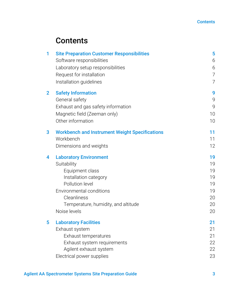# **Contents**

| $\mathbf{1}$   | <b>Site Preparation Customer Responsibilities</b><br>Software responsibilities<br>Laboratory setup responsibilities<br>Request for installation<br>Installation guidelines                                    | 5<br>6<br>6<br>$\overline{7}$<br>7                 |
|----------------|---------------------------------------------------------------------------------------------------------------------------------------------------------------------------------------------------------------|----------------------------------------------------|
| $\overline{2}$ | <b>Safety Information</b><br>General safety<br>Exhaust and gas safety information<br>Magnetic field (Zeeman only)<br>Other information                                                                        | 9<br>9<br>9<br>10<br>10                            |
| 3              | <b>Workbench and Instrument Weight Specifications</b><br>Workbench<br>Dimensions and weights                                                                                                                  | 11<br>11<br>12                                     |
| 4              | <b>Laboratory Environment</b><br>Suitability<br>Equipment class<br>Installation category<br>Pollution level<br>Environmental conditions<br>Cleanliness<br>Temperature, humidity, and altitude<br>Noise levels | 19<br>19<br>19<br>19<br>19<br>19<br>20<br>20<br>20 |
| 5              | <b>Laboratory Facilities</b><br>Exhaust system<br>Exhaust temperatures<br>Exhaust system requirements<br>Agilent exhaust system<br>Electrical power supplies                                                  | 21<br>21<br>21<br>22<br>22<br>23                   |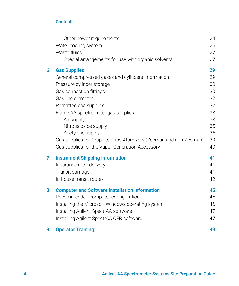### **Contents**

|   | Other power requirements                                         | 24 |
|---|------------------------------------------------------------------|----|
|   | Water cooling system                                             | 26 |
|   | Waste fluids                                                     | 27 |
|   | Special arrangements for use with organic solvents               | 27 |
| 6 | <b>Gas Supplies</b>                                              | 29 |
|   | General compressed gases and cylinders information               | 29 |
|   | Pressure cylinder storage                                        | 30 |
|   | Gas connection fittings                                          | 30 |
|   | Gas line diameter                                                | 32 |
|   | Permitted gas supplies                                           | 32 |
|   | Flame AA spectrometer gas supplies                               | 33 |
|   | Air supply                                                       | 33 |
|   | Nitrous oxide supply                                             | 35 |
|   | Acetylene supply                                                 | 36 |
|   | Gas supplies for Graphite Tube Atomizers (Zeeman and non-Zeeman) | 39 |
|   | Gas supplies for the Vapor Generation Accessory                  | 40 |
| 7 | <b>Instrument Shipping Information</b>                           | 41 |
|   | Insurance after delivery                                         | 41 |
|   | Transit damage                                                   | 41 |
|   | In-house transit routes                                          | 42 |
| 8 | <b>Computer and Software Installation Information</b>            | 45 |
|   | Recommended computer configuration                               | 45 |
|   | Installing the Microsoft Windows operating system                | 46 |
|   | Installing Agilent SpectrAA software                             | 47 |
|   | Installing Agilent SpectrAA CFR software                         | 47 |
| 9 | <b>Operator Training</b>                                         | 49 |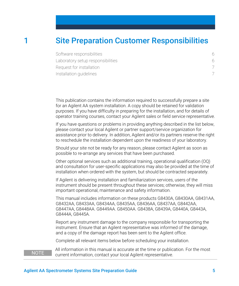# <span id="page-4-0"></span>1 Site Preparation Customer Responsibilities

| Software responsibilities         |  |
|-----------------------------------|--|
| Laboratory setup responsibilities |  |
| Request for installation          |  |
| Installation quidelines           |  |

This publication contains the information required to successfully prepare a site for an Agilent AA system installation. A copy should be retained for validation purposes. If you have difficulty in preparing for the installation, and for details of operator training courses, contact your Agilent sales or field service representative.

If you have questions or problems in providing anything described in the list below, please contact your local Agilent or partner support/service organization for assistance prior to delivery. In addition, Agilent and/or its partners reserve the right to reschedule the installation dependent upon the readiness of your laboratory.

Should your site not be ready for any reason, please contact Agilent as soon as possible to re-arrange any services that have been purchased.

Other optional services such as additional training, operational qualification (OQ) and consultation for user-specific applications may also be provided at the time of installation when ordered with the system, but should be contracted separately.

If Agilent is delivering installation and familiarization services, users of the instrument should be present throughout these services; otherwise, they will miss important operational, maintenance and safety information.

This manual includes information on these products G8430A, G8430AA, G8431AA, G8432AA, G8433AA, G8434AA, G8435AA, G8436AA, G8437AA, G8442AA, G8447AA, G8448AA. G8449AA. G8450AA. G8438A, G8439A, G8440A, G8443A, G8444A, G8445A.

Report any instrument damage to the company responsible for transporting the instrument. Ensure that an Agilent representative was informed of the damage, and a copy of the damage report has been sent to the Agilent office.

Complete all relevant items below before scheduling your installation.

All information in this manual is accurate at the time or publication. For the most current information, contact your local Agilent representative.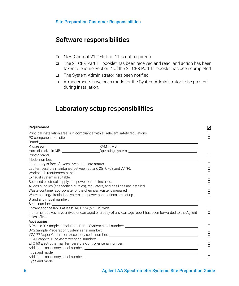## <span id="page-5-0"></span>Software responsibilities

- N/A (Check if 21 CFR Part 11 is not required.)
- The 21 CFR Part 11 booklet has been received and read, and action has been taken to ensure Section 4 of the 21 CFR Part 11 booklet has been completed.
- The System Administrator has been notified.
- <span id="page-5-1"></span> Arrangements have been made for the System Administrator to be present during installation.

## Laboratory setup responsibilities

| Requirement                                                     |                                                                                                                                                                                                                                      | ☑      |
|-----------------------------------------------------------------|--------------------------------------------------------------------------------------------------------------------------------------------------------------------------------------------------------------------------------------|--------|
| PC components on site.                                          | Principal installation area is in compliance with all relevant safety regulations.                                                                                                                                                   | □<br>□ |
|                                                                 | Processor: RAM in MB:                                                                                                                                                                                                                |        |
|                                                                 |                                                                                                                                                                                                                                      |        |
|                                                                 | Printer brand: <u>example and a series of the series of the series of the series of the series of the series of the series of the series of the series of the series of the series of the series of the series of the series of </u> | □      |
|                                                                 |                                                                                                                                                                                                                                      |        |
| Laboratory is free of excessive particulate matter.             |                                                                                                                                                                                                                                      | П      |
| Lab temperature maintained between 20 and 25 °C (68 and 77 °F). |                                                                                                                                                                                                                                      | □      |
| Workbench requirements met.                                     |                                                                                                                                                                                                                                      | □      |
| Exhaust system is suitable.                                     |                                                                                                                                                                                                                                      | п      |
| Specified electrical supply and power outlets installed.        |                                                                                                                                                                                                                                      | □      |
|                                                                 | All gas supplies (at specified purities), regulators, and gas lines are installed.                                                                                                                                                   | п      |
| Waste container appropriate for the chemical waste is prepared. |                                                                                                                                                                                                                                      | □      |
|                                                                 | Water cooling/circulation system and power connections are set up.                                                                                                                                                                   | $\Box$ |
|                                                                 |                                                                                                                                                                                                                                      |        |
| Serial number:                                                  |                                                                                                                                                                                                                                      |        |
| Entrance to the lab is at least 1450 cm (57.1 in) wide.         |                                                                                                                                                                                                                                      | □      |
|                                                                 | Instrument boxes have arrived undamaged or a copy of any damage report has been forwarded to the Agilent                                                                                                                             | $\Box$ |
| sales office.                                                   |                                                                                                                                                                                                                                      |        |
| Accessories                                                     |                                                                                                                                                                                                                                      |        |
|                                                                 | SIPS 10/20 Sample Introduction Pump System serial number: _______________________                                                                                                                                                    | □      |
|                                                                 |                                                                                                                                                                                                                                      | □      |
|                                                                 |                                                                                                                                                                                                                                      | $\Box$ |
|                                                                 |                                                                                                                                                                                                                                      | о      |
|                                                                 | ETC 60 Electrothermal Temperature Controller serial number:                                                                                                                                                                          | $\Box$ |
|                                                                 | Additional accessory serial number: Accessory serial number:                                                                                                                                                                         | п      |
|                                                                 |                                                                                                                                                                                                                                      |        |
|                                                                 | Additional accessory serial number: Accession of the state of the state of the state of the state of the state of the state of the state of the state of the state of the state of the state of the state of the state of the        | □      |
|                                                                 |                                                                                                                                                                                                                                      |        |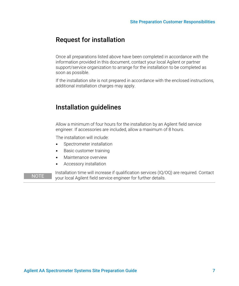## <span id="page-6-0"></span>Request for installation

Once all preparations listed above have been completed in accordance with the information provided in this document, contact your local Agilent or partner support/service organization to arrange for the installation to be completed as soon as possible.

<span id="page-6-1"></span>If the installation site is not prepared in accordance with the enclosed instructions, additional installation charges may apply.

## Installation guidelines

Allow a minimum of four hours for the installation by an Agilent field service engineer. If accessories are included, allow a maximum of 8 hours.

The installation will include:

- Spectrometer installation
- Basic customer training
- Maintenance overview
- Accessory installation

Installation time will increase if qualification services (IQ/OQ) are required. Contact<br>NOTE shows local Agilant field consine engineer for further datails your local Agilent field service engineer for further details.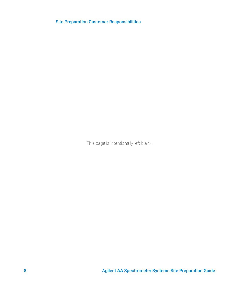Site Preparation Customer Responsibilities

This page is intentionally left blank.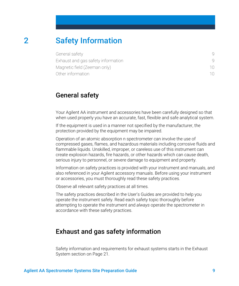# <span id="page-8-0"></span>2 Safety Information

| General safety                     |  |
|------------------------------------|--|
| Exhaust and gas safety information |  |
| Magnetic field (Zeeman only)       |  |
| Other information                  |  |

## <span id="page-8-1"></span>General safety

Your Agilent AA instrument and accessories have been carefully designed so that when used properly you have an accurate, fast, flexible and safe analytical system.

If the equipment is used in a manner not specified by the manufacturer, the protection provided by the equipment may be impaired.

Operation of an atomic absorption n spectrometer can involve the use of compressed gases, flames, and hazardous materials including corrosive fluids and flammable liquids. Unskilled, improper, or careless use of this instrument can create explosion hazards, fire hazards, or other hazards which can cause death, serious injury to personnel, or severe damage to equipment and property.

Information on safety practices is provided with your instrument and manuals, and also referenced in your Agilent accessory manuals. Before using your instrument or accessories, you must thoroughly read these safety practices.

Observe all relevant safety practices at all times.

The safety practices described in the User's Guides are provided to help you operate the instrument safely. Read each safety topic thoroughly before attempting to operate the instrument and *always* operate the spectrometer in accordance with these safety practices.

## <span id="page-8-2"></span>Exhaust and gas safety information

Safety information and requirements for exhaust systems starts in the Exhaust System section on Page [21.](#page-20-1)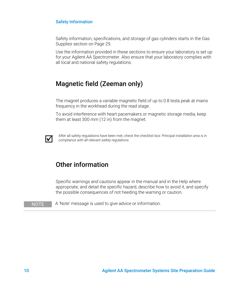### Safety Information

Safety information, specifications, and storage of gas cylinders starts in the Gas Supplies section on Page [29.](#page-28-0)

<span id="page-9-0"></span>Use the information provided in these sections to ensure your laboratory is set up for your Agilent AA Spectrometer. Also ensure that your laboratory complies with all local and national safety regulations.

## Magnetic field (Zeeman only)

The magnet produces a variable magnetic field of up to 0.8 tesla peak at mains frequency in the workhead during the read stage.

To avoid interference with heart pacemakers or magnetic storage media, keep them at least 300 mm (12 in) from the magnet.

<span id="page-9-1"></span>

 After all safety regulations have been met, check the checklist box: *Principal installation area is in compliance with all relevant safety regulations.*

## Other information

Specific warnings and cautions appear in the manual and in the Help where appropriate, and detail the specific hazard, describe how to avoid it, and specify the possible consequences of not heeding the warning or caution.

NOTE A 'Note' message is used to give advice or information.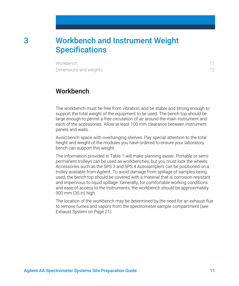# <span id="page-10-0"></span>3 Workbench and Instrument Weight **Specifications**

<span id="page-10-1"></span>[Workbench](#page-10-1) [11](#page-10-1) [Dimensions and weights](#page-11-0) [12](#page-11-0)

## Workbench

The workbench must be free from vibration, and be stable and strong enough to support the total weight of the equipment to be used. The bench top should be large enough to permit a free circulation of air around the main instrument and each of the accessories. Allow at least 100 mm clearance between instrument panels and walls.

Avoid bench space with overhanging shelves. Pay special attention to the total height and weight of the modules you have ordered to ensure your laboratory bench can support this weight.

The information provided in Table 1 will make planning easier. Portable or semipermanent trolleys can be used as workbenches, but you must lock the wheels. Accessories such as the SPS 3 and SPS 4 Autosamplers can be positioned on a trolley available from Agilent. To avoid damage from spillage of samples being used, the bench top should be covered with a material that is corrosion-resistant and impervious to liquid spillage. Generally, for comfortable working conditions and ease of access to the instruments, the workbench should be approximately 900 mm (35 in) high.

The location of the workbench may be determined by the need for an exhaust flue to remove fumes and vapors from the spectrometer sample compartment (see Exhaust System on Page [21\)](#page-20-1).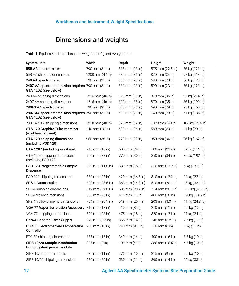## Dimensions and weights

<span id="page-11-0"></span>Table 1. Equipment dimensions and weights for Agilent AA systems

| System unit                                                                | Width            | Depth                     | Height           | Weight            |
|----------------------------------------------------------------------------|------------------|---------------------------|------------------|-------------------|
| 55B AA spectrometer                                                        | 790 mm (31 in)   | 585 mm (23 in)            | 575 mm (22.5 in) | 56 kg (123 lb)    |
| 55B AA shipping dimensions                                                 | 1200 mm (47 in)  | 780 mm (31 in)            | 870 mm (34 in)   | 97 kg (213 lb)    |
| 240 AA spectrometer                                                        | 790 mm (31 in)   | 580 mm (23 in)            | 590 mm (23 in)   | 56 kg (123 lb)    |
| 240Z AA spectrometer. Also requires 790 mm (31 in)<br>GTA 120Z (see below) |                  | 580 mm (23 in)            | 590 mm (23 in)   | 56 kg (123 lb)    |
| 240 AA shipping dimensions                                                 | 1215 mm (46 in)  | 820 mm (35 in)            | 870 mm (35 in)   | 97 kg (214 lb)    |
| 240Z AA shipping dimensions                                                | 1215 mm (46 in)  | 820 mm (35 in)            | 870 mm (35 in)   | 86 kg (190 lb)    |
| 280FS AA spectrometer                                                      | 790 mm (31 in)   | 580 mm (23 in)            | 590 mm (29 in)   | 75 kg (165 lb)    |
| 280Z AA spectrometer. Also requires 790 mm (31 in)<br>GTA 120Z (see below) |                  | 580 mm (23 in)            | 740 mm (29 in)   | 61 kg (135 lb)    |
| 280FS/Z AA shipping dimensions                                             | 1210 mm (48 in)  | 820 mm (32 in)            | 1020 mm (40 in)  | 106 kg (234 lb)   |
| GTA 120 Graphite Tube Atomizer<br>(workhead stowed)                        | 240 mm (10 in)   | 600 mm (24 in)            | 580 mm (23 in)   | 41 kg (90 lb)     |
| GTA 120 shipping dimensions<br>(including PSD 120)                         | 960 mm (38 in)   | 770 mm (30 in)            | 850 mm (34 in)   | 76 kg (167 lb)    |
| GTA 120Z (including workhead)                                              | 240 mm (10 in)   | 600 mm (24 in)            | 580 mm (23 in)   | 52 kg (115 lb)    |
| GTA 120Z shipping dimensions<br>(including PSD 120)                        | 960 mm (38 in)   | 770 mm (30 in)            | 850 mm (34 in)   | 87 kg (192 lb)    |
| PSD 120 Programmable Sample<br>Dispenser                                   | 300 mm (11.8 in) | 380 mm (15 in)            | 310 mm (12.2 in) | 6 kg (13.2 lb)    |
| PSD 120 shipping dimensions                                                | 660 mm (26 in)   | 420 mm (16.5 in)          | 310 mm (12.2 in) | 10 kg (22 lb)     |
| <b>SPS 4 Autosampler</b>                                                   | 600 mm (23.6 in) | 363 mm (14.3 in)          | 510 mm (20.1 in) | 15 kg (33.1 lb)   |
| SPS 4 shipping dimensions                                                  | 812 mm (32.0 in) | 532 mm (20.9 in)          | 714 mm (28.1 in) | 18.6 kg (41.0 lb) |
| SPS 4 trolley dimensions                                                   | 580 mm (23 in)   | 412 mm (17 in)            | 400 mm (16 in)   | 8.4 kg (18.5 lb)  |
| SPS 4 trolley shipping dimensions                                          | 764 mm (30.1 in) | 518 mm (20.4 in)          | 203 mm (8.0 in)  | 11 kg (24.3 lb)   |
| <b>VGA 77 Vapor Generation Accessory</b>                                   | 310 mm (13 in)   | $210 \, \text{mm}$ (8 in) | 270 mm (11 in)   | 5.5 kg (12 lb)    |
| VGA 77 shipping dimensions                                                 | 590 mm (23 in)   | 475 mm (18 in)            | 320 mm (12 in)   | 11 kg (24 lb)     |
| <b>UltrAA Boosted Lamp Supply</b>                                          | 240 mm (9.5 in)  | 355 mm (14 in)            | 145 mm (5.8 in)  | 7.5 kg (17 lb)    |
| ETC 60 Electrothermal Temperature<br>Controller                            | 260 mm (10 in)   | 240 mm (9.5 in)           | 150 mm (6 in)    | 5 kg (11 lb)      |
| ETC 60 shipping dimensions                                                 | 385 mm (15 in)   | 340 mm (14 in)            | 400 mm (16 in)   | 8.5 kg (19 lb)    |
| SIPS 10/20 Sample Introduction<br>Pump System power module                 | 225 mm (9 in)    | 100 mm $(4 in)$           | 385 mm (15.5 in) | 4.5 kg (10 lb)    |
| SIPS 10/20 pump module                                                     | 285 mm (11 in)   | 275 mm (10.5 in)          | 215 mm (9 in)    | 4.5 kg (10 lb)    |
| SIPS 10/20 shipping dimensions                                             | 620 mm (25 in)   | 530 mm (21 in)            | 360 mm (14 in)   | 15 kg (33 lb)     |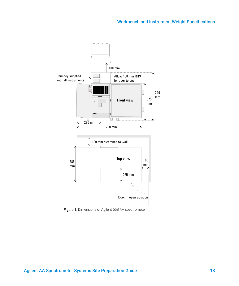

Figure 1. Dimensions of Agilent 55B AA spectrometer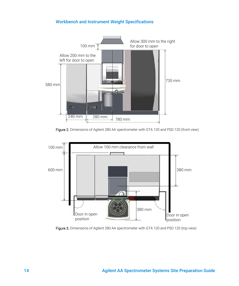### Workbench and Instrument Weight Specifications



Figure 2. Dimensions of Agilent 280 AA spectrometer with GTA 120 and PSD 120 (front view)



Figure 3. Dimensions of Agilent 280 AA spectrometer with GTA 120 and PSD 120 (top view)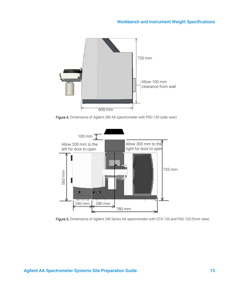

Figure 4. Dimensions of Agilent 280 AA spectrometer with PSD 120 (side view)



Figure 5. Dimensions of Agilent 240 Series AA spectrometer with GTA 120 and PSD 120 (front view)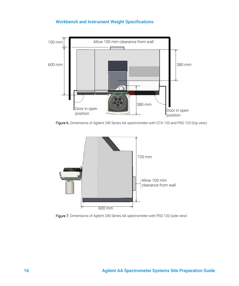### Workbench and Instrument Weight Specifications



Figure 6. Dimensions of Agilent 240 Series AA spectrometer with GTA 120 and PSD 120 (top view)



Figure 7. Dimensions of Agilent 240 Series AA spectrometer with PSD 120 (side view)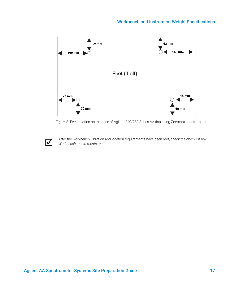

Figure 8. Feet location on the base of Agilent 240/280 Series AA (including Zeeman) spectrometer



After the workbench vibration and location requirements have been met, check the checklist box:<br>Workbench requirements met *Workbench requirements met.*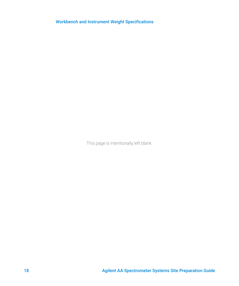Workbench and Instrument Weight Specifications

This page is intentionally left blank.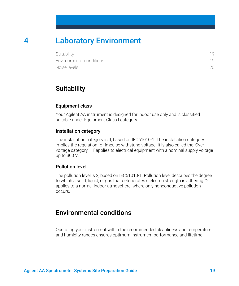# <span id="page-18-0"></span>4 Laboratory Environment

| Suitability              | 19 |
|--------------------------|----|
| Environmental conditions | 19 |
| Noise levels             | 20 |

## <span id="page-18-1"></span>**Suitability**

### <span id="page-18-2"></span>Equipment class

Your Agilent AA instrument is designed for indoor use only and is classified suitable under Equipment Class I category.

### <span id="page-18-3"></span>Installation category

The installation category is II, based on IEC61010-1. The installation category implies the regulation for impulse withstand voltage. It is also called the 'Over voltage category'. 'II' applies to electrical equipment with a nominal supply voltage up to 300 V.

### <span id="page-18-4"></span>Pollution level

The pollution level is 2, based on IEC61010-1. Pollution level describes the degree to which a solid, liquid, or gas that deteriorates dielectric strength is adhering. '2' applies to a normal indoor atmosphere, where only nonconductive pollution occurs.

## <span id="page-18-5"></span>Environmental conditions

Operating your instrument within the recommended cleanliness and temperature and humidity ranges ensures optimum instrument performance and lifetime.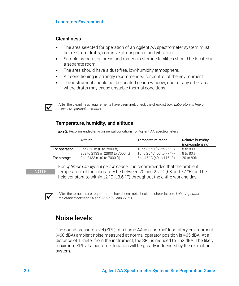### Laboratory Environment

### <span id="page-19-0"></span>**Cleanliness**

- The area selected for operation of an Agilent AA spectrometer system must be free from drafts, corrosive atmospheres and vibration.
- Sample preparation areas and materials storage facilities should be located in a separate room.
- The area should have a dust-free, low-humidity atmosphere.
- Air conditioning is strongly recommended for control of the environment.
- The instrument should not be located near a window, door or any other area where drafts may cause unstable thermal conditions.

<span id="page-19-1"></span>

 After the cleanliness requirements have been met, check the checklist box: *Laboratory is free of excessive particulate matter.*

### Temperature, humidity, and altitude

Table 2. Recommended environmental conditions for Agilent AA spectrometers

|               | Altitude                                                     | Temperature range                                      | Relative humidity<br>(non-condensing) |
|---------------|--------------------------------------------------------------|--------------------------------------------------------|---------------------------------------|
| For operation | 0 to 853 m (0 to 2800 ft)<br>853 to 2133 m (2800 to 7000 ft) | 10 to 35 °C (50 to 95 °F)<br>10 to 25 °C (50 to 77 °F) | 8 to 80%<br>8 to 80%                  |
| For storage   | 0 to 2133 m (0 to 7000 ft)                                   | 5 to 45 °C (40 to 115 °F)                              | 20 to 80%                             |

### **NOTE**

For *optimum analytical performance*, it is recommended that the ambient temperature of the laboratory be between 20 and 25 °C (68 and 77 °F).and be held constant to within  $\pm 2$  °C ( $\pm 3.6$  °F) throughout the entire working day.

<span id="page-19-2"></span>

 After the temperature requirements have been met, check the checklist box: *Lab temperature maintained between 20 and 25 °C (68 and 77 °F).*

## Noise levels

The sound pressure level (SPL) of a flame AA in a 'normal' laboratory environment (≈60 dBA) ambient noise measured at normal operator position is ≈65 dBA. At a distance of 1 meter from the instrument, the SPL is reduced to ≈62 dBA. The likely maximum SPL at a customer location will be greatly influenced by the extraction system.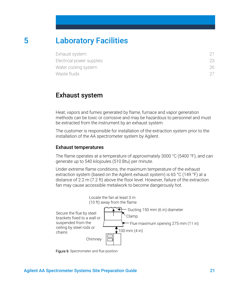# <span id="page-20-0"></span>5 Laboratory Facilities

| Exhaust system            |    |
|---------------------------|----|
| Electrical power supplies | 23 |
| Water cooling system      | 26 |
| Waste fluids              |    |

## <span id="page-20-1"></span>Exhaust system

Heat, vapors and fumes generated by flame, furnace and vapor generation methods can be toxic or corrosive and may be hazardous to personnel and must be extracted from the instrument by an exhaust system.

The customer is responsible for installation of the extraction system prior to the installation of the AA spectrometer system by Agilent.

### <span id="page-20-2"></span>Exhaust temperatures

The flame operates at a temperature of approximately 3000 °C (5400 °F), and can generate up to 540 kilojoules (510 Btu) per minute.

Under extreme flame conditions, the maximum temperature of the exhaust extraction system (based on the Agilent exhaust system) is 65 °C (149 °F) at a distance of 2.2 m (7.2 ft) above the floor level. However, failure of the extraction fan may cause accessible metalwork to become dangerously hot.



Figure 9. Spectrometer and flue position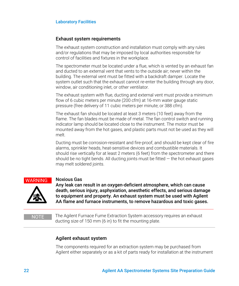### Laboratory Facilities

### <span id="page-21-0"></span>Exhaust system requirements

The exhaust system construction and installation must comply with any rules and/or regulations that may be imposed by local authorities responsible for control of facilities and fixtures in the workplace.

The spectrometer must be located under a flue, which is vented by an exhaust fan and ducted to an external vent that vents to the outside air; never within the building. The external vent must be fitted with a backdraft damper. Locate the system outlet such that the exhaust cannot re-enter the building through any door, window, air conditioning inlet, or other ventilator.

The exhaust system with flue, ducting and external vent must provide a minimum flow of 6 cubic meters per minute (200 cfm) at 16-mm water gauge static pressure (free delivery of 11 cubic meters per minute; or 388 cfm).

The exhaust fan should be located at least 3 meters (10 feet) away from the flame. The fan blades must be made of metal. The fan control switch and running indicator lamp should be located close to the instrument. The motor must be mounted away from the hot gases, and plastic parts must not be used as they will melt.

Ducting must be corrosion-resistant and fire-proof, and should be kept clear of fire alarms, sprinkler heads, heat-sensitive devices and combustible materials. It should rise vertically for at least 2 meters (6 feet) from the spectrometer and there should be no tight bends. All ducting joints must be fitted — the hot exhaust gases may melt soldered joints.

### WARNING Noxious Gas



Any leak can result in an oxygen-deficient atmosphere, which can cause death, serious injury, asphyxiation, anesthetic effects, and serious damage to equipment and property. An exhaust system must be used with Agilent AA flame and furnace instruments, to remove hazardous and toxic gases.

<span id="page-21-1"></span>NOTE The Agilent Furnace Fume Extraction System accessory requires an exhaust ducting size of 150 mm (6 in) to fit the mounting plate.

### Agilent exhaust system

The components required for an extraction system may be purchased from Agilent either separately or as a kit of parts ready for installation at the instrument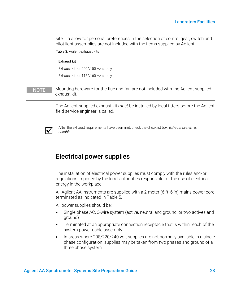site. To allow for personal preferences in the selection of control gear, switch and pilot light assemblies are not included with the items supplied by Agilent.

Table 3. Agilent exhaust kits

### Exhaust kit

Exhaust kit for 240 V, 50 Hz supply

Exhaust kit for 115 V, 60 Hz supply

NOTE Nounting hardware for the flue and fan are not included with the Agilent-supplied exhaust kit.

> The Agilent-supplied exhaust kit *must* be installed by local fitters before the Agilent field service engineer is called.

<span id="page-22-0"></span>

 After the exhaust requirements have been met, check the checklist box: *Exhaust system is suitable.*

## Electrical power supplies

The installation of electrical power supplies must comply with the rules and/or regulations imposed by the local authorities responsible for the use of electrical energy in the workplace.

All Agilent AA instruments are supplied with a 2-meter (6 ft, 6 in) mains power cord terminated as indicated in [Table 5.](#page-24-0)

All power supplies should be:

- Single phase AC, 3-wire system (active, neutral and ground, or two actives and ground)
- Terminated at an appropriate connection receptacle that is within reach of the system power cable assembly.
- In areas where 208/220/240 volt supplies are not normally available in a single phase configuration, supplies may be taken from two phases and ground of a three phase system.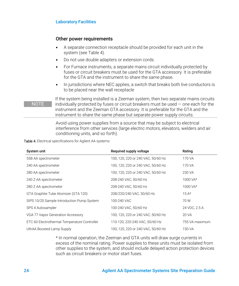### Laboratory Facilities

### <span id="page-23-0"></span>Other power requirements

- A separate connection receptacle should be provided for each unit in the system (see Table 4).
- Do not use double adapters or extension cords.
- For Furnace instruments, a separate mains circuit individually protected by fuses or circuit breakers must be used for the GTA accessory. It is preferable for the GTA and the instrument to share the same phase.
- In jurisdictions where NEC applies, a switch that breaks both live conductors is to be placed near the wall receptacle

If the system being installed is a Zeeman system, then two separate mains circuits individually protected by fuses or circuit breakers must be used — one each for the instrument and the Zeeman GTA accessory. It is preferable for the GTA and the instrument to share the same phase but separate power supply circuits.

Avoid using power supplies from a source that may be subject to electrical interference from other services (large electric motors, elevators, welders and air conditioning units, and so forth).

### Table 4. Electrical specifications for Agilent AA systems

NOTE

| System unit                                  | Required supply voltage            | Rating         |
|----------------------------------------------|------------------------------------|----------------|
| 55B AA spectrometer                          | 100, 120, 220 or 240 VAC, 50/60 Hz | 170 VA         |
| 240 AA spectrometer                          | 100, 120, 220 or 240 VAC, 50/60 Hz | 170 VA         |
| 280 AA spectrometer                          | 100, 120, 220 or 240 VAC, 50/60 Hz | 230 VA         |
| 240 Z AA spectrometer                        | 208-240 VAC, 50/60 Hz              | 1000 VA*       |
| 280 Z AA spectrometer                        | 208-240 VAC, 50/60 Hz              | 1000 VA*       |
| GTA Graphite Tube Atomizer (GTA 120)         | 208/220/240 VAC, 50/60 Hz          | $15A*$         |
| SIPS 10/20 Sample Introduction Pump System   | 100-240 VAC                        | 70 W           |
| SPS 4 Autosampler                            | 100-240 VAC, 50/60 Hz              | 24 VDC, 2.5 A  |
| VGA 77 Vapor Generation Accessory            | 100, 120, 220 or 240 VAC, 50/60 Hz | 20 VA          |
| ETC 60 Electrothermal Temperature Controller | 110-120, 220-240 VAC, 50/60 Hz     | 755 VA maximum |
| UltrAA Boosted Lamp Supply                   | 100, 120, 220 or 240 VAC, 50/60 Hz | 150 VA         |

\* In normal operation, the Zeeman and GTA units will draw surge currents in excess of the nominal rating. Power supplies to these units must be isolated from other supplies to the system, and should include delayed action protection devices such as circuit breakers or motor start fuses.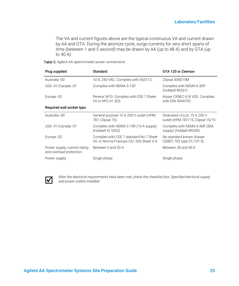The VA and current figures above are the typical continuous VA and current drawn by AA and GTA. During the atomize cycle, surge currents for very short spans of time (between 1 and 5 second) may be drawn by AA (up to 48 A) and by GTA (up to  $40$  A).

<span id="page-24-0"></span>Table 5. Agilent AA spectrometer power connections

| Plug supplied                                           | <b>Standard</b>                                                                      | GTA 120 or Zeeman                                                  |
|---------------------------------------------------------|--------------------------------------------------------------------------------------|--------------------------------------------------------------------|
| Australia -00                                           | 10 A, 250 VAC. Complies with AS3112.                                                 | Clipsal 439D15M                                                    |
| USA-01/Canada-01                                        | Complies with NEMA 5-15P                                                             | Complies with NEMA 6-30P<br>(Hubbell #9331)                        |
| Europe -02                                              | Perena 3410. Complies with CEE 7 Sheet<br>VII or NFC 61.303.                         | Kaiser CEBEC 616 VDE. Complies<br>with DIN 49441R2.                |
| Required wall socket type                               |                                                                                      |                                                                    |
| Australia -00                                           | General purpose 10 A 250 V outlet (HPM<br>787, Clipsal 15)                           | Dedicated circuit, 15 A 250 V<br>outlet (HPM 787/15, Clipsal 15/15 |
| USA-01/Canada-01                                        | Complies with NEMA 5-15R (15 A supply)<br>(Hubbell IG 5262)                          | Complies with NEMA 6-30R (30A)<br>supply) (Hubbell #9330)          |
| Europe -02                                              | Complies with CEE 7 standard No.7 Sheet<br>VII, or Norma Francais C61.303 Sheet V.A. | No standard known (Kaiser<br>CEBEC 702 type 31/131.5)              |
| Power supply, current rating<br>and overload protection | Between 5 and 20 A                                                                   | Between 30 and 40 A                                                |
| Power supply                                            | Single phase                                                                         | Single phase                                                       |



After the electrical requirements have been met, check the checklist box: *Specified electrical supply*<br>and nower outlets installed *and power outlets installed.*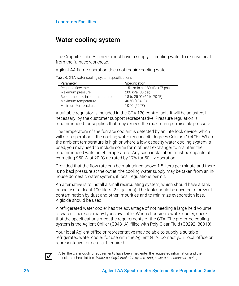## <span id="page-25-0"></span>Water cooling system

The Graphite Tube Atomizer must have a supply of cooling water to remove heat from the furnace workhead.

Agilent AA flame operation does not require cooling water.

| Parameter                     | Specification                 |
|-------------------------------|-------------------------------|
| Required flow rate            | 1.5 L/min at 180 kPa (27 psi) |
| Maximum pressure              | 200 kPa (30 psi)              |
| Recommended inlet temperature | 18 to 25 °C (64 to 70 °F)     |
| Maximum temperature           | 40 °C (104 °F)                |
| Minimum temperature           | 10 °C (50 °F)                 |

A suitable regulator is included in the GTA 120 control unit. It will be adjusted, if necessary, by the customer support representative. Pressure regulation is recommended for supplies that may exceed the maximum permissible pressure.

The temperature of the furnace coolant is detected by an interlock device, which will stop operation if the cooling water reaches 40 degrees Celsius (104 °F). Where the ambient temperature is high or where a low-capacity water cooling system is used, you may need to include some form of heat exchanger to maintain the recommended water inlet temperature. Any such installation must be capable of extracting 950 W at 20 °C de-rated by 17% for 50 Hz operation.

Provided that the flow rate can be maintained above 1.5 liters per minute and there is no backpressure at the outlet, the cooling water supply may be taken from an inhouse domestic water system, if local regulations permit.

An alternative is to install a small recirculating system, which should have a tank capacity of at least 100 liters (27 gallons). The tank should be covered to prevent contamination by dust and other impurities and to minimize evaporation loss. Algicide should be used.

A refrigerated water cooler has the advantage of not needing a large held volume of water. There are many types available. When choosing a water cooler, check that the specifications meet the requirements of the GTA. The preferred cooling system is the Agilent Chiller (G8481A), filled with Poly-Clear Fluid (G3292- 80010).

Your local Agilent office or representative may be able to supply a suitable refrigerated water cooler for use with the Agilent GTA. Contact your local office or representative for details if required.



After the water cooling requirements have been met, enter the requested information and then check the checklist box: *Water cooling/circulation system and power connections are set up.*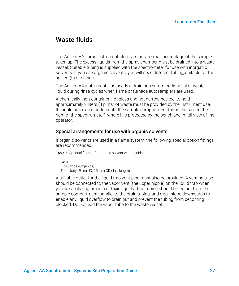## <span id="page-26-0"></span>Waste fluids

The Agilent AA flame instrument atomizes only a small percentage of the sample taken up. The excess liquids from the spray chamber must be drained into a waste vessel. Suitable tubing is supplied with the spectrometer for use with inorganic solvents. If you use organic solvents, you will need different tubing, suitable for the solvent(s) of choice.

The Agilent AA instrument also needs a drain or a sump for disposal of waste liquid during rinse cycles when flame or furnace autosamplers are used.

A chemically-inert container, not glass and not narrow-necked, to hold approximately 2 liters (4 pints) of waste must be provided by the instrument user. It should be located underneath the sample compartment (or on the side to the right of the spectrometer), where it is protected by the bench and in full view of the operator.

### <span id="page-26-1"></span>Special arrangements for use with organic solvents

If organic solvents are used in a flame system, the following special option fittings are recommended.

Table 7. Optional fittings for organic solvent waste fluids

```
Item
Kit, O-rings (Organics)
Tube, butyl, 9 mm ID, 15 mm OD (1 m length)
```
A suitable outlet for the liquid trap vent pipe must also be provided. A venting tube should be connected to the vapor vent (the upper nipple) on the liquid trap when you are analyzing organic or toxic liquids. This tubing should be led out from the sample compartment, parallel to the drain tubing, and *must* slope downwards to enable any liquid overflow to drain out and prevent the tubing from becoming blocked. Do *not* lead the vapor tube to the waste vessel.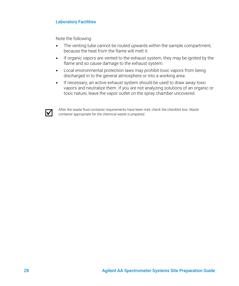### Laboratory Facilities

Note the following:

- The venting tube cannot be routed upwards within the sample compartment, because the heat from the flame will melt it.
- If organic vapors are vented to the exhaust system, they may be ignited by the flame and so cause damage to the exhaust system.
- Local environmental protection laws may prohibit toxic vapors from being discharged in to the general atmosphere or into a working area.
- If necessary, an active exhaust system should be used to draw away toxic vapors and neutralize them. If you are not analyzing solutions of an organic or toxic nature, leave the vapor outlet on the spray chamber uncovered.



 After the waste fluid container requirements have been met, check the checklist box: *Waste container appropriate for the chemical waste is prepared*.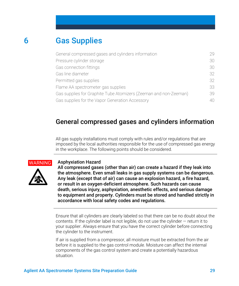# <span id="page-28-0"></span>6 Gas Supplies

| General compressed gases and cylinders information               | 29 |
|------------------------------------------------------------------|----|
| Pressure cylinder storage                                        | 30 |
| Gas connection fittings                                          | 30 |
| Gas line diameter                                                | 32 |
| Permitted gas supplies                                           | 32 |
| Flame AA spectrometer gas supplies                               | 33 |
| Gas supplies for Graphite Tube Atomizers (Zeeman and non-Zeeman) | 39 |
| Gas supplies for the Vapor Generation Accessory                  | 40 |

## <span id="page-28-1"></span>General compressed gases and cylinders information

All gas supply installations must comply with rules and/or regulations that are imposed by the local authorities responsible for the use of compressed gas energy in the workplace. The following points should be considered.



### WARNING Asphyxiation Hazard

All compressed gases (other than air) can create a hazard if they leak into the atmosphere. Even small leaks in gas supply systems can be dangerous. Any leak (except that of air) can cause an explosion hazard, a fire hazard, or result in an oxygen-deficient atmosphere. Such hazards can cause death, serious injury, asphyxiation, anesthetic effects, and serious damage to equipment and property. Cylinders must be stored and handled strictly in accordance with local safety codes and regulations.

Ensure that all cylinders are clearly labeled so that there can be no doubt about the contents. If the cylinder label is not legible, do not use the cylinder — return it to your supplier. Always ensure that you have the correct cylinder before connecting the cylinder to the instrument.

If air is supplied from a compressor, all moisture must be extracted from the air before it is supplied to the gas control module. Moisture can affect the internal components of the gas control system and create a potentially hazardous situation.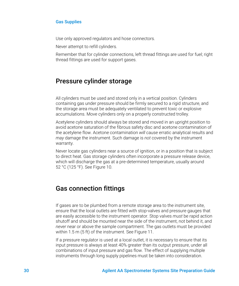### Gas Supplies

Use only approved regulators and hose connectors.

Never attempt to refill cylinders.

<span id="page-29-0"></span>Remember that for cylinder connections, left thread fittings are used for fuel; right thread fittings are used for support gases.

## Pressure cylinder storage

All cylinders must be used and stored only in a vertical position. Cylinders containing gas under pressure should be firmly secured to a rigid structure, and the storage area must be adequately ventilated to prevent toxic or explosive accumulations. Move cylinders only on a properly constructed trolley.

Acetylene cylinders should always be stored and moved in an upright position to avoid acetone saturation of the fibrous safety disc and acetone contamination of the acetylene flow. Acetone contamination *will* cause erratic analytical results and *may* damage the instrument. Such damage is *not* covered by the instrument warranty.

Never locate gas cylinders near a source of ignition, or in a position that is subject to direct heat. Gas storage cylinders often incorporate a pressure release device, which will discharge the gas at a pre-determined temperature, usually around 52 °C (125 °F). Se[e Figure 10.](#page-30-0)

## <span id="page-29-1"></span>Gas connection fittings

If gases are to be plumbed from a remote storage area to the instrument site, ensure that the local outlets are fitted with stop-valves and pressure gauges that are easily accessible to the instrument operator. Stop valves *must* be rapid action shutoff and should be mounted near the side of the instrument, not behind it, and *never* near or above the sample compartment. The gas outlets must be provided within 1.5 m (5 ft) of the instrument. See [Figure 11.](#page-30-1)

If a pressure regulator is used at a local outlet, it is necessary to ensure that its input pressure is always at least 40% greater than its output pressure, under all combinations of input pressure and gas flow. The effect of supplying multiple instruments through long supply pipelines must be taken into consideration.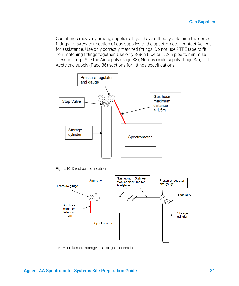Gas fittings may vary among suppliers. If you have difficulty obtaining the correct fittings for *direct* connection of gas supplies to the spectrometer, contact Agilent for assistance. Use only correctly matched fittings. Do not use PTFE tape to fit non‐matching fittings together. Use only 3/8-in tube or 1/2-in pipe to minimize pressure drop. See the Air supply (Pag[e 33\)](#page-32-1), Nitrous oxide supply (Pag[e 35\)](#page-34-0), and Acetylene supply (Page [36\)](#page-35-0) sections for fittings specifications.





<span id="page-30-0"></span>

<span id="page-30-1"></span>Figure 11. Remote storage location gas connection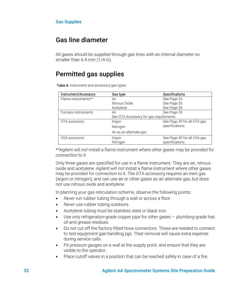## <span id="page-31-0"></span>Gas line diameter

All gases should be supplied through gas lines with an internal diameter no smaller than 6.4 mm (1/4 in).

## <span id="page-31-1"></span>Permitted gas supplies

| Instrument/Accessory | Gas type                               | Specifications              |
|----------------------|----------------------------------------|-----------------------------|
| Flame instruments**  | Air                                    | See Page 33                 |
|                      | Nitrous Oxide                          | See Page 35                 |
|                      | Acetylene                              | See Page 36                 |
| Furnace instruments  | Air                                    | See Page 33                 |
|                      | See GTA Accessory for gas requirements |                             |
| GTA accessory        | Argon                                  | See Page 39 for all GTA gas |
|                      | Nitrogen                               | specifications              |
|                      | Air as an alternate gas                |                             |
| VGA accessory        | Argon                                  | See Page 40 for all VGA gas |
|                      | Nitrogen                               | specifications              |

Table 8. Instrument and accessory gas types

\*\*Agilent will *not* install a flame instrument where other gases may be provided for connection to it.

Only three gases are specified for use in a flame instrument. They are air, nitrous oxide and acetylene. Agilent will *not* install a flame instrument where other gases may be provided for connection to it. The GTA accessory requires an inert gas (argon or nitrogen), and can use air or other gases as an alternate gas, but does not use nitrous oxide and acetylene.

In planning your gas reticulation scheme, observe the following points:

- *Never* run rubber tubing through a wall or across a floor.
- *Never* use rubber tubing outdoors.
- Acetylene tubing *must* be stainless steel or black iron.
- Use only *refrigeration-grade* copper pipe for other gases plumbing-grade has oil and grease residues.
- Do *not* cut off the factory-fitted hose connectors. These are needed to connect to test equipment gas-handling jigs. Their removal will cause extra expense during service calls.
- Fit pressure gauges on a wall at the supply point, and ensure that they are visible to the operator.
- Place cutoff valves in a position that can be reached safely in case of a fire.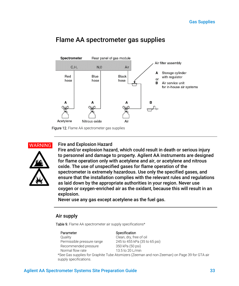

## <span id="page-32-0"></span>Flame AA spectrometer gas supplies

Figure 12. Flame AA spectrometer gas supplies



### WARNING Fire and Explosion Hazard

Fire and/or explosion hazard, which could result in death or serious injury to personnel and damage to property. Agilent AA instruments are designed for flame operation only with acetylene and air, or acetylene and nitrous oxide. The use of unspecified gases for flame operation of the spectrometer is extremely hazardous. Use only the specified gases, and ensure that the installation complies with the relevant rules and regulations as laid down by the appropriate authorities in your region. Never use oxygen or oxygen-enriched air as the oxidant, because this will result in an explosion.

Never use any gas except acetylene as the fuel gas.

### <span id="page-32-1"></span>Air supply

Table 9. Flame AA spectrometer air supply specifications\*

### Parameter Specification

Quality Clean, dry, free of oil Recommended pressure 350 kPa (50 psi) Normal flow rate 13.5 to 20 L/min

Permissible pressure range 245 to 455 kPa (35 to 65 psi)

\*See [Gas supplies for Graphite Tube Atomizers \(Zeeman and non-Zeeman\)](#page-38-0) on Pag[e 39](#page-38-0) for GTA air supply specifications.

### Agilent AA Spectrometer Systems Site Preparation Guide 33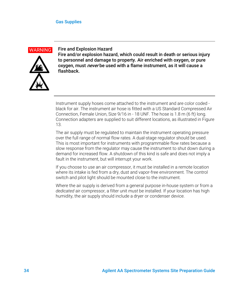



WARNING Fire and Explosion Hazard Fire and/or explosion hazard, which could result in death or serious injury to personnel and damage to property. Air enriched with oxygen, or pure oxygen, must *never* be used with a flame instrument, as it will cause a flashback.

> Instrument supply hoses come attached to the instrument and are color coded black for air. The instrument air hose is fitted with a US Standard Compressed Air Connection, Female Union, Size 9/16 in - 18 UNF. The hose is 1.8 m (6 ft) long. Connection adapters are supplied to suit different locations, as illustrated in [Figure](#page-34-1)  [13.](#page-34-1)

> The air supply must be regulated to maintain the instrument operating pressure over the full range of normal flow rates. A dual-stage regulator should be used. This is most important for instruments with programmable flow rates because a slow response from the regulator may cause the instrument to shut down during a demand for increased flow. A shutdown of this kind is safe and does not imply a fault in the instrument, but will interrupt your work.

If you choose to use an air compressor, it must be installed in a remote location where its intake is fed from a dry, dust and vapor-free environment. The control switch and pilot light should be mounted close to the instrument.

Where the air supply is derived from a general purpose in-house system or from a *dedicated* air compressor, a filter unit *must* be installed. If your location has high humidity, the air supply should include a dryer or condenser device.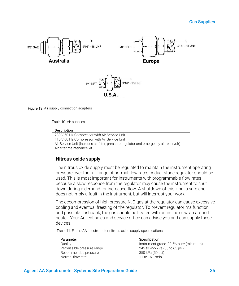### Gas Supplies



<span id="page-34-1"></span>

### Table 10. Air supplies

### Description

230 V 50 Hz Compressor with Air Service Unit 115 V 60 Hz Compressor with Air Service Unit Air Service Unit (includes air filter, pressure regulator and emergency air reservoir) Air filter maintenance kit

### <span id="page-34-0"></span>Nitrous oxide supply

The nitrous oxide supply must be regulated to maintain the instrument operating pressure over the full range of normal flow rates. A dual-stage regulator should be used. This is most important for instruments with programmable flow rates because a slow response from the regulator may cause the instrument to shut down during a demand for increased flow. A shutdown of this kind is safe and does not imply a fault in the instrument, but will interrupt your work.

The decompression of high pressure  $N_2O$  gas at the regulator can cause excessive cooling and eventual freezing of the regulator. To prevent regulator malfunction and possible flashback, the gas should be heated with an in-line or wrap-around heater. Your Agilent sales and service office can advise you and can supply these devices.

Table 11. Flame AA spectrometer nitrous oxide supply specifications

Recommended pressure 350 kPa (50 psi) Normal flow rate 11 to 16 L/min

### Parameter Specification

Quality Instrument-grade, 99.5% pure (minimum) Permissible pressure range 245 to 455 kPa (35 to 65 psi)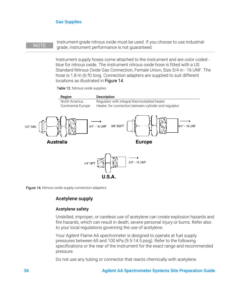### Gas Supplies

### Instrument-grade nitrous oxide must be used. If you choose to use industrial-<br>NOTE grade, instrument performance is not guaranteed.

Instrument supply hoses come attached to the instrument and are color coded blue for nitrous oxide. The instrument nitrous oxide hose is fitted with a US Standard Nitrous Oxide Gas Connection, Female Union, Size 3/4 in - 16 UNF. The hose is 1.8 m (6 ft) long. Connection adapters are supplied to suit different locations as illustrated in [Figure 14.](#page-35-1)





<span id="page-35-1"></span><span id="page-35-0"></span>**Figure 14.** Nitrous oxide supply connection adapters

### Acetylene supply

### Acetylene safety

Unskilled, improper, or careless use of acetylene can create explosion hazards and fire hazards, which can result in death, severe personal injury or burns. Refer also to your local regulations governing the use of acetylene.

Your Agilent Flame AA spectrometer is designed to operate at fuel supply pressures between 65 and 100 kPa (9.5-14.5 psig). Refer to the following specifications or the rear of the instrument for the exact range and recommended pressure.

Do not use any tubing or connector that reacts chemically with acetylene.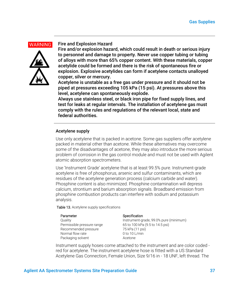

### WARNING Fire and Explosion Hazard

Fire and/or explosion hazard, which could result in death or serious injury to personnel and damage to property. Never use copper tubing or tubing of alloys with more than 65% copper content. With these materials, copper acetylide could be formed and there is the risk of spontaneous fire or explosion. Explosive acetylides can form if acetylene contacts unalloyed copper, silver or mercury.

Acetylene is unstable as a free gas under pressure and it should not be piped at pressures exceeding 105 kPa (15 psi). At pressures above this level, acetylene can spontaneously explode.

Always use stainless steel, or black iron pipe for fixed supply lines, and test for leaks at regular intervals. The installation of acetylene gas must comply with the rules and regulations of the relevant local, state and federal authorities.

### Acetylene supply

Use only acetylene that is packed in acetone. Some gas suppliers offer acetylene packed in material other than acetone. While these alternatives may overcome some of the disadvantages of acetone, they may also introduce the more serious problem of corrosion in the gas control module and must not be used with Agilent atomic absorption spectrometers.

Use 'Instrument Grade' acetylene that is at least 99.5% pure. Instrument-grade acetylene is free of phosphorus, arsenic and sulfur contaminants, which are residues of the acetylene generation process (calcium carbide and water). Phosphine content is also minimized. Phosphine contamination will depress calcium, strontium and barium absorption signals. Broadband emission from phosphine combustion products can interfere with sodium and potassium analysis.

Table 13. Acetylene supply specifications

| Parameter                  | Specification                          |
|----------------------------|----------------------------------------|
| Quality                    | Instrument-grade, 99.0% pure (minimum) |
| Permissible pressure range | 65 to 100 kPa (9.5 to 14.5 psi)        |
| Recommended pressure       | 75 kPa (11 psi)                        |
| Normal flow rate           | 0 to 10 L/min                          |
| Packaging solvent          | Acetone                                |

Instrument supply hoses come attached to the instrument and are color coded red for acetylene. The instrument acetylene hose is fitted with a US Standard Acetylene Gas Connection, Female Union, Size 9/16 in - 18 UNF, left thread. The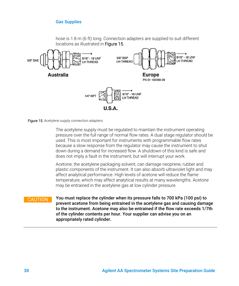### Gas Supplies

hose is 1.8 m (6 ft) long. Connection adapters are supplied to suit different locations as illustrated in [Figure 15.](#page-37-0)



### <span id="page-37-0"></span>Figure 15. Acetylene supply connection adapters

The acetylene supply must be regulated to maintain the instrument operating pressure over the full range of normal flow rates. A dual stage regulator should be used. This is most important for instruments with programmable flow rates because a slow response from the regulator may cause the instrument to shut down during a demand for increased flow. A shutdown of this kind is safe and does not imply a fault in the instrument, but will interrupt your work.

Acetone, the acetylene packaging solvent, can damage neoprene, rubber and plastic components of the instrument. It can also absorb ultraviolet light and may affect analytical performance. High levels of acetone will reduce the flame temperature, which may affect analytical results at many wavelengths. Acetone may be entrained in the acetylene gas at low cylinder pressure.

CAUTION You must replace the cylinder when its pressure falls to 700 kPa (100 psi) to prevent acetone from being entrained in the acetylene gas and causing damage to the instrument. Acetone may also be entrained if the flow rate exceeds 1/7th of the cylinder contents per hour. Your supplier can advise you on an appropriately rated cylinder.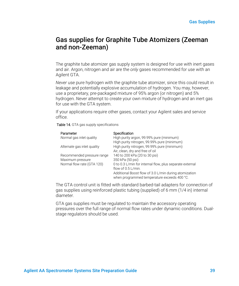## <span id="page-38-0"></span>Gas supplies for Graphite Tube Atomizers (Zeeman and non-Zeeman)

The graphite tube atomizer gas supply system is designed for use with inert gases and air. Argon, nitrogen and air are the *only* gases recommended for use with an Agilent GTA.

*Never* use pure hydrogen with the graphite tube atomizer, since this could result in leakage and potentially explosive accumulation of hydrogen. You may, however, use a proprietary, pre-packaged mixture of 95% argon (or nitrogen) and 5% hydrogen. *Never* attempt to create your own mixture of hydrogen and an inert gas for use with the GTA system.

If your applications require other gases, contact your Agilent sales and service office.

Table 14. GTA gas supply specifications

| Parameter                   | Specification                                            |
|-----------------------------|----------------------------------------------------------|
| Normal gas inlet quality    | High purity argon, 99.99% pure (minimum)                 |
|                             | High purity nitrogen, 99.99% pure (minimum)              |
| Alternate gas inlet quality | High purity nitrogen, 99.99% pure (minimum)              |
|                             | Air, clean, dry and free of oil                          |
| Recommended pressure range  | 140 to 200 kPa (20 to 30 psi)                            |
| Maximum pressure            | 350 kPa (50 psi)                                         |
| Normal flow rate (GTA 120)  | 0 to 0.3 L/min for internal flow, plus separate external |
|                             | flow of 0.5 L/min.                                       |
|                             | Additional Boost flow of 3.0 L/min during atomization    |
|                             | when programmed temperature exceeds 400 °C.              |

The GTA control unit is fitted with standard barbed-tail adapters for connection of gas supplies using reinforced plastic tubing (supplied) of 6 mm (1/4 in) internal diameter.

GTA gas supplies must be regulated to maintain the accessory operating pressures over the full range of normal flow rates under dynamic conditions. Dualstage regulators should be used.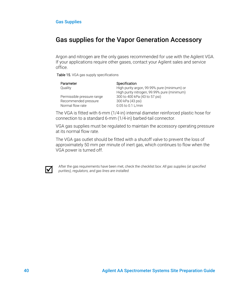## <span id="page-39-0"></span>Gas supplies for the Vapor Generation Accessory

Argon and nitrogen are the only gases recommended for use with the Agilent VGA. If your applications require other gases, contact your Agilent sales and service office.

Table 15. VGA gas supply specifications

| Parameter                  | Specification                               |
|----------------------------|---------------------------------------------|
| Quality                    | High purity argon, 99.99% pure (minimum) or |
|                            | High purity nitrogen, 99.99% pure (minimum) |
| Permissible pressure range | 300 to 400 kPa (43 to 57 psi)               |
| Recommended pressure       | 300 kPa (43 psi)                            |
| Normal flow rate           | 0.05 to 0.1 L/min                           |

The VGA is fitted with 6-mm (1/4-in) internal diameter reinforced plastic hose for connection to a standard 6-mm (1/4-in) barbed-tail connector.

VGA gas supplies must be regulated to maintain the accessory operating pressure at its normal flow rate.

The VGA gas outlet should be fitted with a shutoff valve to prevent the loss of approximately 50 mm per minute of inert gas, which continues to flow when the VGA power is turned off.



 After the gas requirements have been met, check the checklist box: *All gas supplies (at specified purities), regulators, and gas lines are installed.*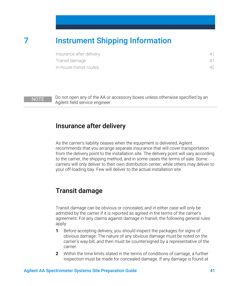# <span id="page-40-0"></span>7 Instrument Shipping Information

| Insurance after delivery |    |
|--------------------------|----|
| Transit damage           |    |
| In-house transit routes  | 42 |

<span id="page-40-1"></span>NOTE Do not open any of the AA or accessory boxes unless otherwise specified by an Agilent field service engineer.

## Insurance after delivery

As the carrier's liability ceases when the equipment is delivered, Agilent recommends that you arrange separate insurance that will cover transportation from the delivery point to the installation site. The delivery point will vary according to the carrier, the shipping method, and in some cases the terms of sale. Some carriers will only deliver to their own distribution center, while others may deliver to your off-loading bay. Few will deliver to the actual installation site.

## <span id="page-40-2"></span>Transit damage

Transit damage can be obvious or concealed, and in either case will only be admitted by the carrier if it is reported as agreed in the terms of the carrier's agreement. For any claims against damage in transit, the following general rules apply:

- **1** Before accepting delivery, you should inspect the packages for signs of obvious damage. The nature of any obvious damage must be noted on the carrier's way-bill, and then must be countersigned by a representative of the carrier.
- **2** Within the time limits stated in the terms of conditions of carriage, a further inspection must be made for concealed damage. If any damage is found at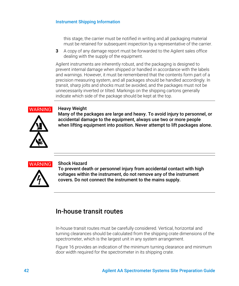### Instrument Shipping Information

this stage, the carrier must be notified in writing and all packaging material must be retained for subsequent inspection by a representative of the carrier.

**3** A copy of any damage report must be forwarded to the Agilent sales office dealing with the supply of the equipment.

Agilent instruments are inherently robust, and the packaging is designed to prevent internal damage when shipped or handled in accordance with the labels and warnings. However, it must be remembered that the contents form part of a precision measuring system, and all packages should be handled accordingly. In transit, sharp jolts and shocks must be avoided, and the packages must not be unnecessarily inverted or tilted. Markings on the shipping cartons generally indicate which side of the package should be kept at the top.

### WARNING Heavy Weight



Many of the packages are large and heavy. To avoid injury to personnel, or accidental damage to the equipment, always use two or more people when lifting equipment into position. Never attempt to lift packages alone.

### WARNING Shock Hazard

<span id="page-41-0"></span>

To prevent death or personnel injury from accidental contact with high voltages within the instrument, do not remove any of the instrument covers. Do not connect the instrument to the mains supply.

## In-house transit routes

In-house transit routes must be carefully considered. Vertical, horizontal and turning clearances should be calculated from the shipping crate dimensions of the spectrometer, which is the largest unit in any system arrangement.

Figure 16 provides an indication of the minimum turning clearance and minimum door width required for the spectrometer in its shipping crate.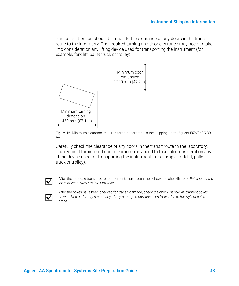Particular attention should be made to the clearance of any doors in the transit route to the laboratory. The required turning and door clearance may need to take into consideration any lifting device used for transporting the instrument (for example, fork lift, pallet truck or trolley).



Figure 16. Minimum clearance required for transportation in the shipping crate (Agilent 55B/240/280 AA)

Carefully check the clearance of any doors in the transit route to the laboratory. The required turning and door clearance may need to take into consideration any lifting device used for transporting the instrument (for example, fork lift, pallet truck or trolley).



 After the in-house transit route requirements have been met, check the checklist box: *Entrance to the lab is at least 1450 cm (57.1 in) wide.*



After the boxes have been checked for transit damage, check the checklist box: *Instrument boxes have arrived undamaged or a copy of any damage report has been forwarded to the Agilent sales office.*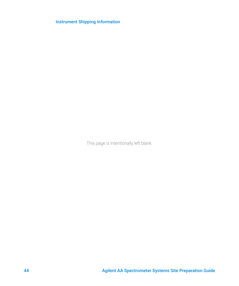Instrument Shipping Information

This page is intentionally left blank.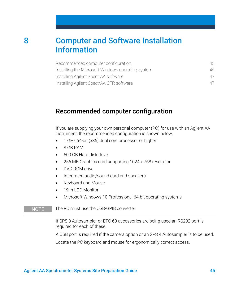# <span id="page-44-0"></span>8 Computer and Software Installation Information

| Recommended computer configuration                | 45        |
|---------------------------------------------------|-----------|
| Installing the Microsoft Windows operating system | 46        |
| Installing Agilent SpectrAA software              | $\Delta/$ |
| Installing Agilent SpectrAA CFR software          | $\Delta/$ |

## <span id="page-44-1"></span>Recommended computer configuration

If you are supplying your own personal computer (PC) for use with an Agilent AA instrument, the recommended configuration is shown below.

- 1 GHz 64-bit (x86) dual core processor or higher
- 8 GB RAM
- 500 GB Hard disk drive
- 256 MB Graphics card supporting 1024 x 768 resolution
- **DVD-ROM** drive
- Integrated audio/sound card and speakers
- Keyboard and Mouse
- 19 in LCD Monitor
- Microsoft Windows 10 Professional 64-bit operating systems

### NOTE The PC must use the USB-GPIB converter.

If SPS 3 Autosampler or ETC 60 accessories are being used an RS232 port is required for each of these.

A USB port is required if the camera option or an SPS 4 Autosampler is to be used.

Locate the PC keyboard and mouse for ergonomically correct access.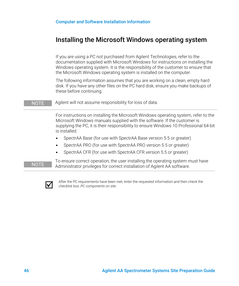## <span id="page-45-0"></span>Installing the Microsoft Windows operating system

If you are using a PC not purchased from Agilent Technologies, refer to the documentation supplied with Microsoft Windows for instructions on installing the Windows operating system. It is the responsibility of the customer to ensure that the Microsoft Windows operating system is installed on the computer.

The following information assumes that you are working on a clean, empty hard disk. If you have any other files on the PC hard disk, ensure you make backups of these before continuing.

NOTE Agilent will not assume responsibility for loss of data.

For instructions on installing the Microsoft Windows operating system, refer to the Microsoft Windows manuals supplied with the software. If the customer is supplying the PC, it is their responsibility to ensure Windows 10 Professional 64-bit is installed.

- SpectrAA Base (for use with SpectrAA Base version 5.5 or greater)
- SpectrAA PRO (for use with SpectrAA PRO version 5.5 or greater)
- SpectrAA CFR (for use with SpectrAA CFR version 5.5 or greater)

 $\overline{NOTE}$  To ensure correct operation, the user installing the operating system must have Administrator privileges for correct installation of Agilent AA software.



 After the PC requirements have been met, enter the requested information and then check the checklist box: *PC components on site.*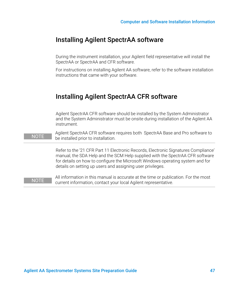## <span id="page-46-0"></span>Installing Agilent SpectrAA software

During the instrument installation, your Agilent field representative will install the SpectrAA or SpectrAA and CFR software.

<span id="page-46-1"></span>For instructions on installing Agilent AA software, refer to the software installation instructions that came with your software.

## Installing Agilent SpectrAA CFR software

Agilent SpectrAA CFR software should be installed by the System Administrator and the System Administrator must be onsite during installation of the Agilent AA instrument.

Agilent SpectrAA CFR software requires both SpectrAA Base and Pro software to be installed prior to installation.

> Refer to the '21 CFR Part 11 Electronic Records, Electronic Signatures Compliance' manual, the SDA Help and the SCM Help supplied with the SpectrAA CFR software for details on how to configure the Microsoft Windows operating system and for details on setting up users and assigning user privileges.

NOTE All information in this manual is accurate at the time or publication. For the most current information, contact your local Agilent representative.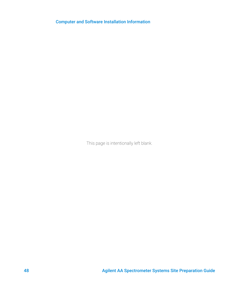Computer and Software Installation Information

This page is intentionally left blank.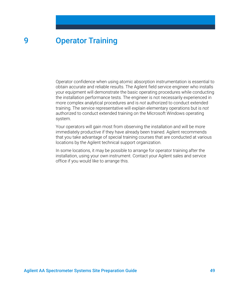# <span id="page-48-0"></span>9 Operator Training

Operator confidence when using atomic absorption instrumentation is essential to obtain accurate and reliable results. The Agilent field service engineer who installs your equipment will demonstrate the basic operating procedures while conducting the installation performance tests. The engineer is not necessarily experienced in more complex analytical procedures and is *not* authorized to conduct extended training. The service representative will explain elementary operations but is *not* authorized to conduct extended training on the Microsoft Windows operating system.

Your operators will gain most from observing the installation and will be more immediately productive if they have already been trained. Agilent recommends that you take advantage of special training courses that are conducted at various locations by the Agilent technical support organization.

In some locations, it may be possible to arrange for operator training after the installation, using your own instrument. Contact your Agilent sales and service office if you would like to arrange this.